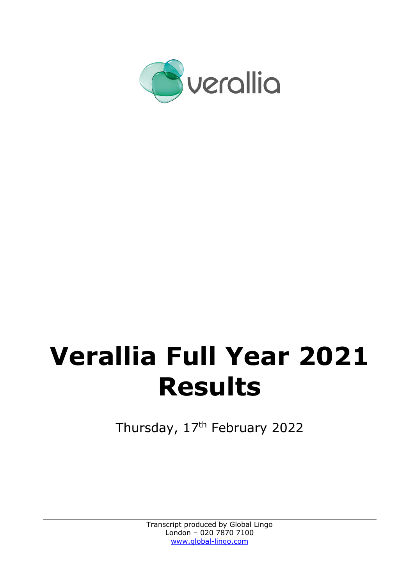

# **Verallia Full Year 2021 Results**

Thursday, 17<sup>th</sup> February 2022

Transcript produced by Global Lingo London – 020 7870 7100 www.global-lingo.com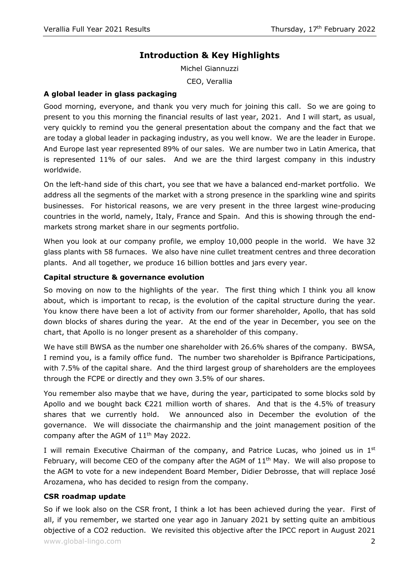# **Introduction & Key Highlights**

Michel Giannuzzi CEO, Verallia

#### **A global leader in glass packaging**

Good morning, everyone, and thank you very much for joining this call. So we are going to present to you this morning the financial results of last year, 2021. And I will start, as usual, very quickly to remind you the general presentation about the company and the fact that we are today a global leader in packaging industry, as you well know. We are the leader in Europe. And Europe last year represented 89% of our sales. We are number two in Latin America, that is represented 11% of our sales. And we are the third largest company in this industry worldwide.

On the left-hand side of this chart, you see that we have a balanced end-market portfolio. We address all the segments of the market with a strong presence in the sparkling wine and spirits businesses. For historical reasons, we are very present in the three largest wine-producing countries in the world, namely, Italy, France and Spain. And this is showing through the endmarkets strong market share in our segments portfolio.

When you look at our company profile, we employ 10,000 people in the world. We have 32 glass plants with 58 furnaces. We also have nine cullet treatment centres and three decoration plants. And all together, we produce 16 billion bottles and jars every year.

#### **Capital structure & governance evolution**

So moving on now to the highlights of the year. The first thing which I think you all know about, which is important to recap, is the evolution of the capital structure during the year. You know there have been a lot of activity from our former shareholder, Apollo, that has sold down blocks of shares during the year. At the end of the year in December, you see on the chart, that Apollo is no longer present as a shareholder of this company.

We have still BWSA as the number one shareholder with 26.6% shares of the company. BWSA, I remind you, is a family office fund. The number two shareholder is Bpifrance Participations, with 7.5% of the capital share. And the third largest group of shareholders are the employees through the FCPE or directly and they own 3.5% of our shares.

You remember also maybe that we have, during the year, participated to some blocks sold by Apollo and we bought back €221 million worth of shares. And that is the 4.5% of treasury shares that we currently hold. We announced also in December the evolution of the governance. We will dissociate the chairmanship and the joint management position of the company after the AGM of 11<sup>th</sup> May 2022.

I will remain Executive Chairman of the company, and Patrice Lucas, who joined us in  $1<sup>st</sup>$ February, will become CEO of the company after the AGM of  $11<sup>th</sup>$  May. We will also propose to the AGM to vote for a new independent Board Member, Didier Debrosse, that will replace José Arozamena, who has decided to resign from the company.

#### **CSR roadmap update**

www.global-lingo.com  $\sim$  2008  $\,$ So if we look also on the CSR front, I think a lot has been achieved during the year. First of all, if you remember, we started one year ago in January 2021 by setting quite an ambitious objective of a CO2 reduction. We revisited this objective after the IPCC report in August 2021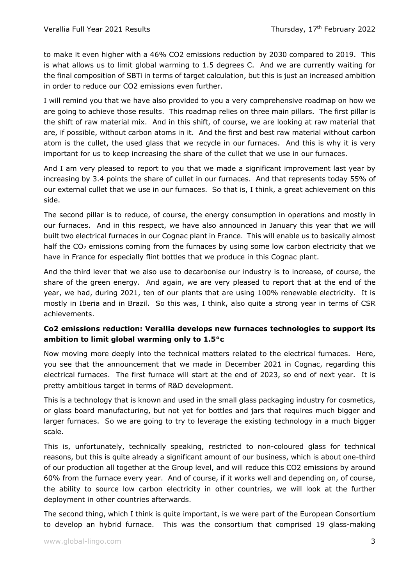to make it even higher with a 46% CO2 emissions reduction by 2030 compared to 2019. This is what allows us to limit global warming to 1.5 degrees C. And we are currently waiting for the final composition of SBTi in terms of target calculation, but this is just an increased ambition in order to reduce our CO2 emissions even further.

I will remind you that we have also provided to you a very comprehensive roadmap on how we are going to achieve those results. This roadmap relies on three main pillars. The first pillar is the shift of raw material mix. And in this shift, of course, we are looking at raw material that are, if possible, without carbon atoms in it. And the first and best raw material without carbon atom is the cullet, the used glass that we recycle in our furnaces. And this is why it is very important for us to keep increasing the share of the cullet that we use in our furnaces.

And I am very pleased to report to you that we made a significant improvement last year by increasing by 3.4 points the share of cullet in our furnaces. And that represents today 55% of our external cullet that we use in our furnaces. So that is, I think, a great achievement on this side.

The second pillar is to reduce, of course, the energy consumption in operations and mostly in our furnaces. And in this respect, we have also announced in January this year that we will built two electrical furnaces in our Cognac plant in France. This will enable us to basically almost half the CO<sub>2</sub> emissions coming from the furnaces by using some low carbon electricity that we have in France for especially flint bottles that we produce in this Cognac plant.

And the third lever that we also use to decarbonise our industry is to increase, of course, the share of the green energy. And again, we are very pleased to report that at the end of the year, we had, during 2021, ten of our plants that are using 100% renewable electricity. It is mostly in Iberia and in Brazil. So this was, I think, also quite a strong year in terms of CSR achievements.

# **Co2 emissions reduction: Verallia develops new furnaces technologies to support its ambition to limit global warming only to 1.5°c**

Now moving more deeply into the technical matters related to the electrical furnaces. Here, you see that the announcement that we made in December 2021 in Cognac, regarding this electrical furnaces. The first furnace will start at the end of 2023, so end of next year. It is pretty ambitious target in terms of R&D development.

This is a technology that is known and used in the small glass packaging industry for cosmetics, or glass board manufacturing, but not yet for bottles and jars that requires much bigger and larger furnaces. So we are going to try to leverage the existing technology in a much bigger scale.

This is, unfortunately, technically speaking, restricted to non-coloured glass for technical reasons, but this is quite already a significant amount of our business, which is about one-third of our production all together at the Group level, and will reduce this CO2 emissions by around 60% from the furnace every year. And of course, if it works well and depending on, of course, the ability to source low carbon electricity in other countries, we will look at the further deployment in other countries afterwards.

The second thing, which I think is quite important, is we were part of the European Consortium to develop an hybrid furnace. This was the consortium that comprised 19 glass-making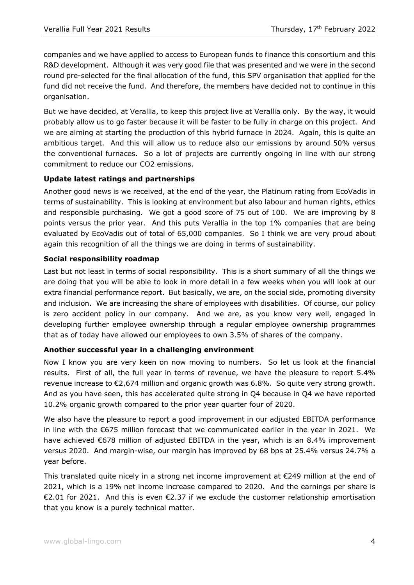companies and we have applied to access to European funds to finance this consortium and this R&D development. Although it was very good file that was presented and we were in the second round pre-selected for the final allocation of the fund, this SPV organisation that applied for the fund did not receive the fund. And therefore, the members have decided not to continue in this organisation.

But we have decided, at Verallia, to keep this project live at Verallia only. By the way, it would probably allow us to go faster because it will be faster to be fully in charge on this project. And we are aiming at starting the production of this hybrid furnace in 2024. Again, this is quite an ambitious target. And this will allow us to reduce also our emissions by around 50% versus the conventional furnaces. So a lot of projects are currently ongoing in line with our strong commitment to reduce our CO2 emissions.

# **Update latest ratings and partnerships**

Another good news is we received, at the end of the year, the Platinum rating from EcoVadis in terms of sustainability. This is looking at environment but also labour and human rights, ethics and responsible purchasing. We got a good score of 75 out of 100. We are improving by 8 points versus the prior year. And this puts Verallia in the top 1% companies that are being evaluated by EcoVadis out of total of 65,000 companies. So I think we are very proud about again this recognition of all the things we are doing in terms of sustainability.

# **Social responsibility roadmap**

Last but not least in terms of social responsibility. This is a short summary of all the things we are doing that you will be able to look in more detail in a few weeks when you will look at our extra financial performance report. But basically, we are, on the social side, promoting diversity and inclusion. We are increasing the share of employees with disabilities. Of course, our policy is zero accident policy in our company. And we are, as you know very well, engaged in developing further employee ownership through a regular employee ownership programmes that as of today have allowed our employees to own 3.5% of shares of the company.

#### **Another successful year in a challenging environment**

Now I know you are very keen on now moving to numbers. So let us look at the financial results. First of all, the full year in terms of revenue, we have the pleasure to report 5.4% revenue increase to €2,674 million and organic growth was 6.8%. So quite very strong growth. And as you have seen, this has accelerated quite strong in Q4 because in Q4 we have reported 10.2% organic growth compared to the prior year quarter four of 2020.

We also have the pleasure to report a good improvement in our adjusted EBITDA performance in line with the €675 million forecast that we communicated earlier in the year in 2021. We have achieved €678 million of adjusted EBITDA in the year, which is an 8.4% improvement versus 2020. And margin-wise, our margin has improved by 68 bps at 25.4% versus 24.7% a year before.

This translated quite nicely in a strong net income improvement at €249 million at the end of 2021, which is a 19% net income increase compared to 2020. And the earnings per share is €2.01 for 2021. And this is even €2.37 if we exclude the customer relationship amortisation that you know is a purely technical matter.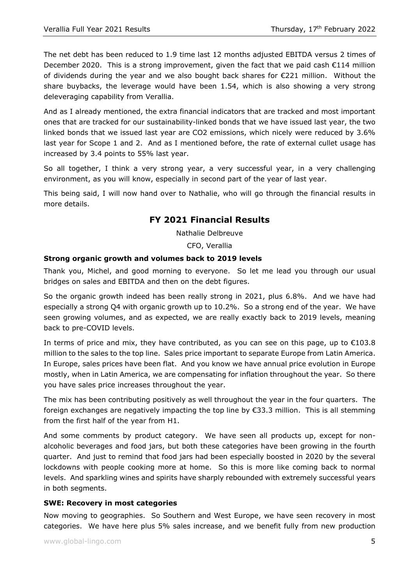The net debt has been reduced to 1.9 time last 12 months adjusted EBITDA versus 2 times of December 2020. This is a strong improvement, given the fact that we paid cash €114 million of dividends during the year and we also bought back shares for €221 million. Without the share buybacks, the leverage would have been 1.54, which is also showing a very strong deleveraging capability from Verallia.

And as I already mentioned, the extra financial indicators that are tracked and most important ones that are tracked for our sustainability-linked bonds that we have issued last year, the two linked bonds that we issued last year are CO2 emissions, which nicely were reduced by 3.6% last year for Scope 1 and 2. And as I mentioned before, the rate of external cullet usage has increased by 3.4 points to 55% last year.

So all together, I think a very strong year, a very successful year, in a very challenging environment, as you will know, especially in second part of the year of last year.

This being said, I will now hand over to Nathalie, who will go through the financial results in more details.

# **FY 2021 Financial Results**

Nathalie Delbreuve

CFO, Verallia

# **Strong organic growth and volumes back to 2019 levels**

Thank you, Michel, and good morning to everyone. So let me lead you through our usual bridges on sales and EBITDA and then on the debt figures.

So the organic growth indeed has been really strong in 2021, plus 6.8%. And we have had especially a strong Q4 with organic growth up to 10.2%. So a strong end of the year. We have seen growing volumes, and as expected, we are really exactly back to 2019 levels, meaning back to pre-COVID levels.

In terms of price and mix, they have contributed, as you can see on this page, up to  $\epsilon$ 103.8 million to the sales to the top line. Sales price important to separate Europe from Latin America. In Europe, sales prices have been flat. And you know we have annual price evolution in Europe mostly, when in Latin America, we are compensating for inflation throughout the year. So there you have sales price increases throughout the year.

The mix has been contributing positively as well throughout the year in the four quarters. The foreign exchanges are negatively impacting the top line by  $\epsilon$ 33.3 million. This is all stemming from the first half of the year from H1.

And some comments by product category. We have seen all products up, except for nonalcoholic beverages and food jars, but both these categories have been growing in the fourth quarter. And just to remind that food jars had been especially boosted in 2020 by the several lockdowns with people cooking more at home. So this is more like coming back to normal levels. And sparkling wines and spirits have sharply rebounded with extremely successful years in both segments.

#### **SWE: Recovery in most categories**

Now moving to geographies. So Southern and West Europe, we have seen recovery in most categories. We have here plus 5% sales increase, and we benefit fully from new production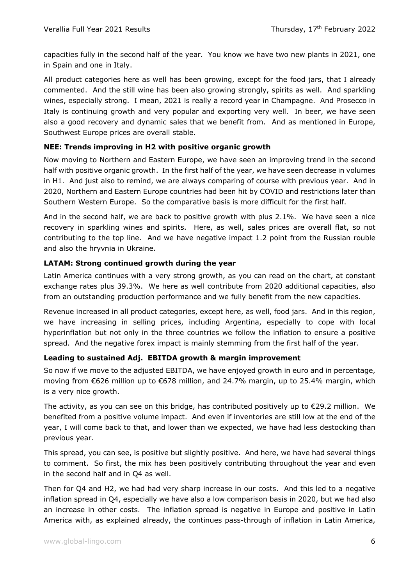capacities fully in the second half of the year. You know we have two new plants in 2021, one in Spain and one in Italy.

All product categories here as well has been growing, except for the food jars, that I already commented. And the still wine has been also growing strongly, spirits as well. And sparkling wines, especially strong. I mean, 2021 is really a record year in Champagne. And Prosecco in Italy is continuing growth and very popular and exporting very well. In beer, we have seen also a good recovery and dynamic sales that we benefit from. And as mentioned in Europe, Southwest Europe prices are overall stable.

# **NEE: Trends improving in H2 with positive organic growth**

Now moving to Northern and Eastern Europe, we have seen an improving trend in the second half with positive organic growth. In the first half of the year, we have seen decrease in volumes in H1. And just also to remind, we are always comparing of course with previous year. And in 2020, Northern and Eastern Europe countries had been hit by COVID and restrictions later than Southern Western Europe. So the comparative basis is more difficult for the first half.

And in the second half, we are back to positive growth with plus 2.1%. We have seen a nice recovery in sparkling wines and spirits. Here, as well, sales prices are overall flat, so not contributing to the top line. And we have negative impact 1.2 point from the Russian rouble and also the hryvnia in Ukraine.

# **LATAM: Strong continued growth during the year**

Latin America continues with a very strong growth, as you can read on the chart, at constant exchange rates plus 39.3%. We here as well contribute from 2020 additional capacities, also from an outstanding production performance and we fully benefit from the new capacities.

Revenue increased in all product categories, except here, as well, food jars. And in this region, we have increasing in selling prices, including Argentina, especially to cope with local hyperinflation but not only in the three countries we follow the inflation to ensure a positive spread. And the negative forex impact is mainly stemming from the first half of the year.

#### **Leading to sustained Adj. EBITDA growth & margin improvement**

So now if we move to the adjusted EBITDA, we have enjoyed growth in euro and in percentage, moving from €626 million up to €678 million, and 24.7% margin, up to 25.4% margin, which is a very nice growth.

The activity, as you can see on this bridge, has contributed positively up to  $\epsilon$ 29.2 million. We benefited from a positive volume impact. And even if inventories are still low at the end of the year, I will come back to that, and lower than we expected, we have had less destocking than previous year.

This spread, you can see, is positive but slightly positive. And here, we have had several things to comment. So first, the mix has been positively contributing throughout the year and even in the second half and in Q4 as well.

Then for Q4 and H2, we had had very sharp increase in our costs. And this led to a negative inflation spread in Q4, especially we have also a low comparison basis in 2020, but we had also an increase in other costs. The inflation spread is negative in Europe and positive in Latin America with, as explained already, the continues pass-through of inflation in Latin America,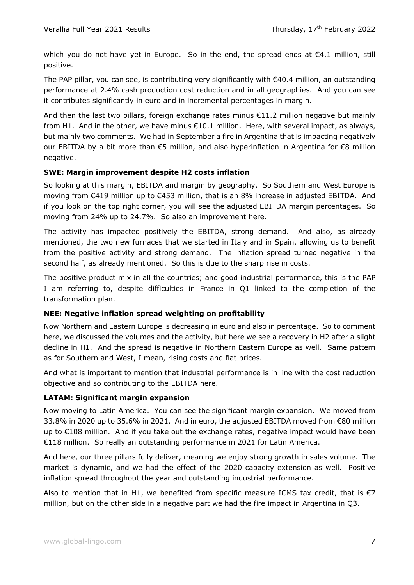which you do not have yet in Europe. So in the end, the spread ends at  $\epsilon$ 4.1 million, still positive.

The PAP pillar, you can see, is contributing very significantly with  $\epsilon$ 40.4 million, an outstanding performance at 2.4% cash production cost reduction and in all geographies. And you can see it contributes significantly in euro and in incremental percentages in margin.

And then the last two pillars, foreign exchange rates minus  $\epsilon$ 11.2 million negative but mainly from H1. And in the other, we have minus  $\epsilon$ 10.1 million. Here, with several impact, as always, but mainly two comments. We had in September a fire in Argentina that is impacting negatively our EBITDA by a bit more than €5 million, and also hyperinflation in Argentina for €8 million negative.

# **SWE: Margin improvement despite H2 costs inflation**

So looking at this margin, EBITDA and margin by geography. So Southern and West Europe is moving from €419 million up to €453 million, that is an 8% increase in adjusted EBITDA. And if you look on the top right corner, you will see the adjusted EBITDA margin percentages. So moving from 24% up to 24.7%. So also an improvement here.

The activity has impacted positively the EBITDA, strong demand. And also, as already mentioned, the two new furnaces that we started in Italy and in Spain, allowing us to benefit from the positive activity and strong demand. The inflation spread turned negative in the second half, as already mentioned. So this is due to the sharp rise in costs.

The positive product mix in all the countries; and good industrial performance, this is the PAP I am referring to, despite difficulties in France in Q1 linked to the completion of the transformation plan.

#### **NEE: Negative inflation spread weighting on profitability**

Now Northern and Eastern Europe is decreasing in euro and also in percentage. So to comment here, we discussed the volumes and the activity, but here we see a recovery in H2 after a slight decline in H1. And the spread is negative in Northern Eastern Europe as well. Same pattern as for Southern and West, I mean, rising costs and flat prices.

And what is important to mention that industrial performance is in line with the cost reduction objective and so contributing to the EBITDA here.

#### **LATAM: Significant margin expansion**

Now moving to Latin America. You can see the significant margin expansion. We moved from 33.8% in 2020 up to 35.6% in 2021. And in euro, the adjusted EBITDA moved from €80 million up to €108 million. And if you take out the exchange rates, negative impact would have been €118 million. So really an outstanding performance in 2021 for Latin America.

And here, our three pillars fully deliver, meaning we enjoy strong growth in sales volume. The market is dynamic, and we had the effect of the 2020 capacity extension as well. Positive inflation spread throughout the year and outstanding industrial performance.

Also to mention that in H1, we benefited from specific measure ICMS tax credit, that is  $\epsilon$ 7 million, but on the other side in a negative part we had the fire impact in Argentina in Q3.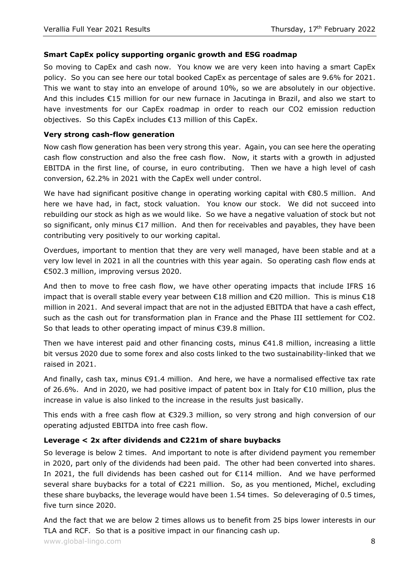# **Smart CapEx policy supporting organic growth and ESG roadmap**

So moving to CapEx and cash now. You know we are very keen into having a smart CapEx policy. So you can see here our total booked CapEx as percentage of sales are 9.6% for 2021. This we want to stay into an envelope of around 10%, so we are absolutely in our objective. And this includes €15 million for our new furnace in Jacutinga in Brazil, and also we start to have investments for our CapEx roadmap in order to reach our CO2 emission reduction objectives. So this CapEx includes €13 million of this CapEx.

# **Very strong cash-flow generation**

Now cash flow generation has been very strong this year. Again, you can see here the operating cash flow construction and also the free cash flow. Now, it starts with a growth in adjusted EBITDA in the first line, of course, in euro contributing. Then we have a high level of cash conversion, 62.2% in 2021 with the CapEx well under control.

We have had significant positive change in operating working capital with €80.5 million. And here we have had, in fact, stock valuation. You know our stock. We did not succeed into rebuilding our stock as high as we would like. So we have a negative valuation of stock but not so significant, only minus €17 million. And then for receivables and payables, they have been contributing very positively to our working capital.

Overdues, important to mention that they are very well managed, have been stable and at a very low level in 2021 in all the countries with this year again. So operating cash flow ends at €502.3 million, improving versus 2020.

And then to move to free cash flow, we have other operating impacts that include IFRS 16 impact that is overall stable every year between  $\epsilon$ 18 million and  $\epsilon$ 20 million. This is minus  $\epsilon$ 18 million in 2021. And several impact that are not in the adjusted EBITDA that have a cash effect, such as the cash out for transformation plan in France and the Phase III settlement for CO2. So that leads to other operating impact of minus €39.8 million.

Then we have interest paid and other financing costs, minus  $€41.8$  million, increasing a little bit versus 2020 due to some forex and also costs linked to the two sustainability-linked that we raised in 2021.

And finally, cash tax, minus  $\epsilon$ 91.4 million. And here, we have a normalised effective tax rate of 26.6%. And in 2020, we had positive impact of patent box in Italy for €10 million, plus the increase in value is also linked to the increase in the results just basically.

This ends with a free cash flow at €329.3 million, so very strong and high conversion of our operating adjusted EBITDA into free cash flow.

# **Leverage < 2x after dividends and €221m of share buybacks**

So leverage is below 2 times. And important to note is after dividend payment you remember in 2020, part only of the dividends had been paid. The other had been converted into shares. In 2021, the full dividends has been cashed out for €114 million. And we have performed several share buybacks for a total of €221 million. So, as you mentioned, Michel, excluding these share buybacks, the leverage would have been 1.54 times. So deleveraging of 0.5 times, five turn since 2020.

And the fact that we are below 2 times allows us to benefit from 25 bips lower interests in our TLA and RCF. So that is a positive impact in our financing cash up.

www.global-lingo.com  $\,$  8  $\,$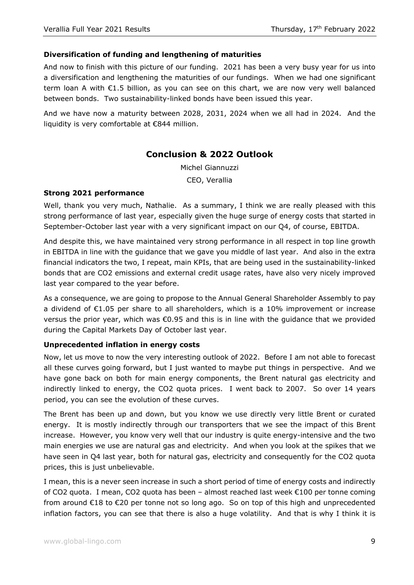#### **Diversification of funding and lengthening of maturities**

And now to finish with this picture of our funding. 2021 has been a very busy year for us into a diversification and lengthening the maturities of our fundings. When we had one significant term loan A with €1.5 billion, as you can see on this chart, we are now very well balanced between bonds. Two sustainability-linked bonds have been issued this year.

And we have now a maturity between 2028, 2031, 2024 when we all had in 2024. And the liquidity is very comfortable at €844 million.

# **Conclusion & 2022 Outlook**

Michel Giannuzzi CEO, Verallia

#### **Strong 2021 performance**

Well, thank you very much, Nathalie. As a summary, I think we are really pleased with this strong performance of last year, especially given the huge surge of energy costs that started in September-October last year with a very significant impact on our Q4, of course, EBITDA.

And despite this, we have maintained very strong performance in all respect in top line growth in EBITDA in line with the guidance that we gave you middle of last year. And also in the extra financial indicators the two, I repeat, main KPIs, that are being used in the sustainability-linked bonds that are CO2 emissions and external credit usage rates, have also very nicely improved last year compared to the year before.

As a consequence, we are going to propose to the Annual General Shareholder Assembly to pay a dividend of €1.05 per share to all shareholders, which is a 10% improvement or increase versus the prior year, which was €0.95 and this is in line with the guidance that we provided during the Capital Markets Day of October last year.

#### **Unprecedented inflation in energy costs**

Now, let us move to now the very interesting outlook of 2022. Before I am not able to forecast all these curves going forward, but I just wanted to maybe put things in perspective. And we have gone back on both for main energy components, the Brent natural gas electricity and indirectly linked to energy, the CO2 quota prices. I went back to 2007. So over 14 years period, you can see the evolution of these curves.

The Brent has been up and down, but you know we use directly very little Brent or curated energy. It is mostly indirectly through our transporters that we see the impact of this Brent increase. However, you know very well that our industry is quite energy-intensive and the two main energies we use are natural gas and electricity. And when you look at the spikes that we have seen in Q4 last year, both for natural gas, electricity and consequently for the CO2 quota prices, this is just unbelievable.

I mean, this is a never seen increase in such a short period of time of energy costs and indirectly of CO2 quota. I mean, CO2 quota has been – almost reached last week €100 per tonne coming from around €18 to €20 per tonne not so long ago. So on top of this high and unprecedented inflation factors, you can see that there is also a huge volatility. And that is why I think it is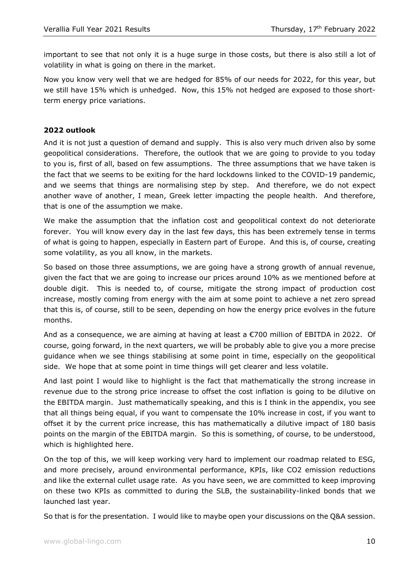important to see that not only it is a huge surge in those costs, but there is also still a lot of volatility in what is going on there in the market.

Now you know very well that we are hedged for 85% of our needs for 2022, for this year, but we still have 15% which is unhedged. Now, this 15% not hedged are exposed to those shortterm energy price variations.

#### **2022 outlook**

And it is not just a question of demand and supply. This is also very much driven also by some geopolitical considerations. Therefore, the outlook that we are going to provide to you today to you is, first of all, based on few assumptions. The three assumptions that we have taken is the fact that we seems to be exiting for the hard lockdowns linked to the COVID-19 pandemic, and we seems that things are normalising step by step. And therefore, we do not expect another wave of another, I mean, Greek letter impacting the people health. And therefore, that is one of the assumption we make.

We make the assumption that the inflation cost and geopolitical context do not deteriorate forever. You will know every day in the last few days, this has been extremely tense in terms of what is going to happen, especially in Eastern part of Europe. And this is, of course, creating some volatility, as you all know, in the markets.

So based on those three assumptions, we are going have a strong growth of annual revenue, given the fact that we are going to increase our prices around 10% as we mentioned before at double digit. This is needed to, of course, mitigate the strong impact of production cost increase, mostly coming from energy with the aim at some point to achieve a net zero spread that this is, of course, still to be seen, depending on how the energy price evolves in the future months.

And as a consequence, we are aiming at having at least a €700 million of EBITDA in 2022. Of course, going forward, in the next quarters, we will be probably able to give you a more precise guidance when we see things stabilising at some point in time, especially on the geopolitical side. We hope that at some point in time things will get clearer and less volatile.

And last point I would like to highlight is the fact that mathematically the strong increase in revenue due to the strong price increase to offset the cost inflation is going to be dilutive on the EBITDA margin. Just mathematically speaking, and this is I think in the appendix, you see that all things being equal, if you want to compensate the 10% increase in cost, if you want to offset it by the current price increase, this has mathematically a dilutive impact of 180 basis points on the margin of the EBITDA margin. So this is something, of course, to be understood, which is highlighted here.

On the top of this, we will keep working very hard to implement our roadmap related to ESG, and more precisely, around environmental performance, KPIs, like CO2 emission reductions and like the external cullet usage rate. As you have seen, we are committed to keep improving on these two KPIs as committed to during the SLB, the sustainability-linked bonds that we launched last year.

So that is for the presentation. I would like to maybe open your discussions on the Q&A session.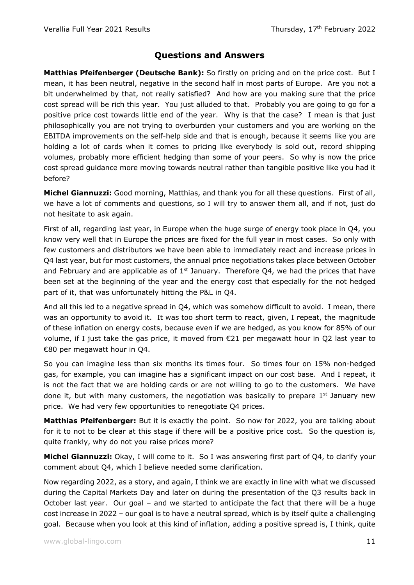# **Questions and Answers**

**Matthias Pfeifenberger (Deutsche Bank):** So firstly on pricing and on the price cost. But I mean, it has been neutral, negative in the second half in most parts of Europe. Are you not a bit underwhelmed by that, not really satisfied? And how are you making sure that the price cost spread will be rich this year. You just alluded to that. Probably you are going to go for a positive price cost towards little end of the year. Why is that the case? I mean is that just philosophically you are not trying to overburden your customers and you are working on the EBITDA improvements on the self-help side and that is enough, because it seems like you are holding a lot of cards when it comes to pricing like everybody is sold out, record shipping volumes, probably more efficient hedging than some of your peers. So why is now the price cost spread guidance more moving towards neutral rather than tangible positive like you had it before?

**Michel Giannuzzi:** Good morning, Matthias, and thank you for all these questions. First of all, we have a lot of comments and questions, so I will try to answer them all, and if not, just do not hesitate to ask again.

First of all, regarding last year, in Europe when the huge surge of energy took place in Q4, you know very well that in Europe the prices are fixed for the full year in most cases. So only with few customers and distributors we have been able to immediately react and increase prices in Q4 last year, but for most customers, the annual price negotiations takes place between October and February and are applicable as of  $1<sup>st</sup>$  January. Therefore Q4, we had the prices that have been set at the beginning of the year and the energy cost that especially for the not hedged part of it, that was unfortunately hitting the P&L in Q4.

And all this led to a negative spread in Q4, which was somehow difficult to avoid. I mean, there was an opportunity to avoid it. It was too short term to react, given, I repeat, the magnitude of these inflation on energy costs, because even if we are hedged, as you know for 85% of our volume, if I just take the gas price, it moved from  $\epsilon$ 21 per megawatt hour in Q2 last year to €80 per megawatt hour in Q4.

So you can imagine less than six months its times four. So times four on 15% non-hedged gas, for example, you can imagine has a significant impact on our cost base. And I repeat, it is not the fact that we are holding cards or are not willing to go to the customers. We have done it, but with many customers, the negotiation was basically to prepare  $1<sup>st</sup>$  January new price. We had very few opportunities to renegotiate Q4 prices.

**Matthias Pfeifenberger:** But it is exactly the point. So now for 2022, you are talking about for it to not to be clear at this stage if there will be a positive price cost. So the question is, quite frankly, why do not you raise prices more?

**Michel Giannuzzi:** Okay, I will come to it. So I was answering first part of Q4, to clarify your comment about Q4, which I believe needed some clarification.

Now regarding 2022, as a story, and again, I think we are exactly in line with what we discussed during the Capital Markets Day and later on during the presentation of the Q3 results back in October last year. Our goal – and we started to anticipate the fact that there will be a huge cost increase in 2022 – our goal is to have a neutral spread, which is by itself quite a challenging goal. Because when you look at this kind of inflation, adding a positive spread is, I think, quite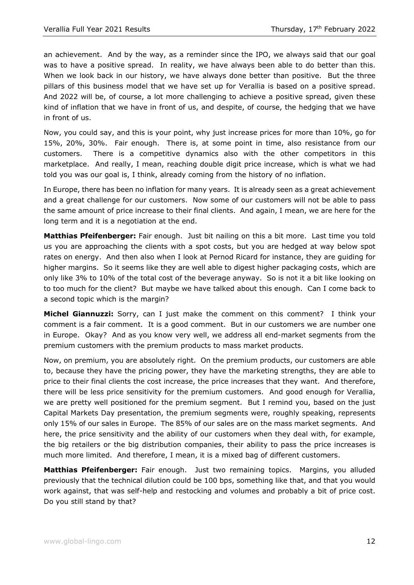an achievement. And by the way, as a reminder since the IPO, we always said that our goal was to have a positive spread. In reality, we have always been able to do better than this. When we look back in our history, we have always done better than positive. But the three pillars of this business model that we have set up for Verallia is based on a positive spread. And 2022 will be, of course, a lot more challenging to achieve a positive spread, given these kind of inflation that we have in front of us, and despite, of course, the hedging that we have in front of us.

Now, you could say, and this is your point, why just increase prices for more than 10%, go for 15%, 20%, 30%. Fair enough. There is, at some point in time, also resistance from our customers. There is a competitive dynamics also with the other competitors in this marketplace. And really, I mean, reaching double digit price increase, which is what we had told you was our goal is, I think, already coming from the history of no inflation.

In Europe, there has been no inflation for many years. It is already seen as a great achievement and a great challenge for our customers. Now some of our customers will not be able to pass the same amount of price increase to their final clients. And again, I mean, we are here for the long term and it is a negotiation at the end.

**Matthias Pfeifenberger:** Fair enough. Just bit nailing on this a bit more. Last time you told us you are approaching the clients with a spot costs, but you are hedged at way below spot rates on energy. And then also when I look at Pernod Ricard for instance, they are guiding for higher margins. So it seems like they are well able to digest higher packaging costs, which are only like 3% to 10% of the total cost of the beverage anyway. So is not it a bit like looking on to too much for the client? But maybe we have talked about this enough. Can I come back to a second topic which is the margin?

**Michel Giannuzzi:** Sorry, can I just make the comment on this comment? I think your comment is a fair comment. It is a good comment. But in our customers we are number one in Europe. Okay? And as you know very well, we address all end-market segments from the premium customers with the premium products to mass market products.

Now, on premium, you are absolutely right. On the premium products, our customers are able to, because they have the pricing power, they have the marketing strengths, they are able to price to their final clients the cost increase, the price increases that they want. And therefore, there will be less price sensitivity for the premium customers. And good enough for Verallia, we are pretty well positioned for the premium segment. But I remind you, based on the just Capital Markets Day presentation, the premium segments were, roughly speaking, represents only 15% of our sales in Europe. The 85% of our sales are on the mass market segments. And here, the price sensitivity and the ability of our customers when they deal with, for example, the big retailers or the big distribution companies, their ability to pass the price increases is much more limited. And therefore, I mean, it is a mixed bag of different customers.

**Matthias Pfeifenberger:** Fair enough. Just two remaining topics. Margins, you alluded previously that the technical dilution could be 100 bps, something like that, and that you would work against, that was self-help and restocking and volumes and probably a bit of price cost. Do you still stand by that?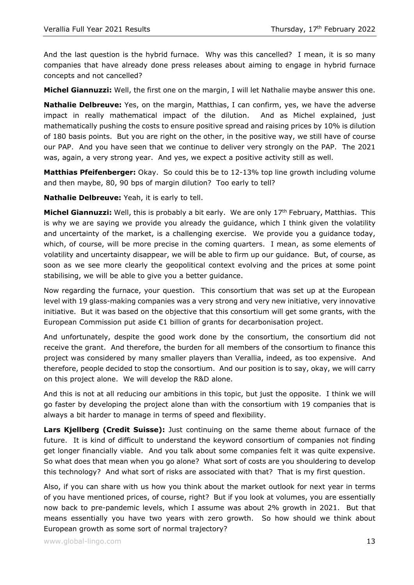And the last question is the hybrid furnace. Why was this cancelled? I mean, it is so many companies that have already done press releases about aiming to engage in hybrid furnace concepts and not cancelled?

**Michel Giannuzzi:** Well, the first one on the margin, I will let Nathalie maybe answer this one.

**Nathalie Delbreuve:** Yes, on the margin, Matthias, I can confirm, yes, we have the adverse impact in really mathematical impact of the dilution. And as Michel explained, just mathematically pushing the costs to ensure positive spread and raising prices by 10% is dilution of 180 basis points. But you are right on the other, in the positive way, we still have of course our PAP. And you have seen that we continue to deliver very strongly on the PAP. The 2021 was, again, a very strong year. And yes, we expect a positive activity still as well.

**Matthias Pfeifenberger:** Okay. So could this be to 12-13% top line growth including volume and then maybe, 80, 90 bps of margin dilution? Too early to tell?

**Nathalie Delbreuve:** Yeah, it is early to tell.

**Michel Giannuzzi:** Well, this is probably a bit early. We are only 17th February, Matthias. This is why we are saying we provide you already the guidance, which I think given the volatility and uncertainty of the market, is a challenging exercise. We provide you a guidance today, which, of course, will be more precise in the coming quarters. I mean, as some elements of volatility and uncertainty disappear, we will be able to firm up our guidance. But, of course, as soon as we see more clearly the geopolitical context evolving and the prices at some point stabilising, we will be able to give you a better guidance.

Now regarding the furnace, your question. This consortium that was set up at the European level with 19 glass-making companies was a very strong and very new initiative, very innovative initiative. But it was based on the objective that this consortium will get some grants, with the European Commission put aside €1 billion of grants for decarbonisation project.

And unfortunately, despite the good work done by the consortium, the consortium did not receive the grant. And therefore, the burden for all members of the consortium to finance this project was considered by many smaller players than Verallia, indeed, as too expensive. And therefore, people decided to stop the consortium. And our position is to say, okay, we will carry on this project alone. We will develop the R&D alone.

And this is not at all reducing our ambitions in this topic, but just the opposite. I think we will go faster by developing the project alone than with the consortium with 19 companies that is always a bit harder to manage in terms of speed and flexibility.

**Lars Kjellberg (Credit Suisse):** Just continuing on the same theme about furnace of the future. It is kind of difficult to understand the keyword consortium of companies not finding get longer financially viable. And you talk about some companies felt it was quite expensive. So what does that mean when you go alone? What sort of costs are you shouldering to develop this technology? And what sort of risks are associated with that? That is my first question.

Also, if you can share with us how you think about the market outlook for next year in terms of you have mentioned prices, of course, right? But if you look at volumes, you are essentially now back to pre-pandemic levels, which I assume was about 2% growth in 2021. But that means essentially you have two years with zero growth. So how should we think about European growth as some sort of normal trajectory?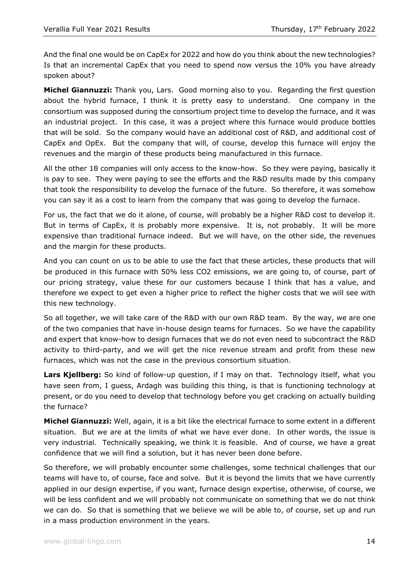And the final one would be on CapEx for 2022 and how do you think about the new technologies? Is that an incremental CapEx that you need to spend now versus the 10% you have already spoken about?

**Michel Giannuzzi:** Thank you, Lars. Good morning also to you. Regarding the first question about the hybrid furnace, I think it is pretty easy to understand. One company in the consortium was supposed during the consortium project time to develop the furnace, and it was an industrial project. In this case, it was a project where this furnace would produce bottles that will be sold. So the company would have an additional cost of R&D, and additional cost of CapEx and OpEx. But the company that will, of course, develop this furnace will enjoy the revenues and the margin of these products being manufactured in this furnace.

All the other 18 companies will only access to the know-how. So they were paying, basically it is pay to see. They were paying to see the efforts and the R&D results made by this company that took the responsibility to develop the furnace of the future. So therefore, it was somehow you can say it as a cost to learn from the company that was going to develop the furnace.

For us, the fact that we do it alone, of course, will probably be a higher R&D cost to develop it. But in terms of CapEx, it is probably more expensive. It is, not probably. It will be more expensive than traditional furnace indeed. But we will have, on the other side, the revenues and the margin for these products.

And you can count on us to be able to use the fact that these articles, these products that will be produced in this furnace with 50% less CO2 emissions, we are going to, of course, part of our pricing strategy, value these for our customers because I think that has a value, and therefore we expect to get even a higher price to reflect the higher costs that we will see with this new technology.

So all together, we will take care of the R&D with our own R&D team. By the way, we are one of the two companies that have in-house design teams for furnaces. So we have the capability and expert that know-how to design furnaces that we do not even need to subcontract the R&D activity to third-party, and we will get the nice revenue stream and profit from these new furnaces, which was not the case in the previous consortium situation.

**Lars Kjellberg:** So kind of follow-up question, if I may on that. Technology itself, what you have seen from, I guess, Ardagh was building this thing, is that is functioning technology at present, or do you need to develop that technology before you get cracking on actually building the furnace?

**Michel Giannuzzi:** Well, again, it is a bit like the electrical furnace to some extent in a different situation. But we are at the limits of what we have ever done. In other words, the issue is very industrial. Technically speaking, we think it is feasible. And of course, we have a great confidence that we will find a solution, but it has never been done before.

So therefore, we will probably encounter some challenges, some technical challenges that our teams will have to, of course, face and solve. But it is beyond the limits that we have currently applied in our design expertise, if you want, furnace design expertise, otherwise, of course, we will be less confident and we will probably not communicate on something that we do not think we can do. So that is something that we believe we will be able to, of course, set up and run in a mass production environment in the years.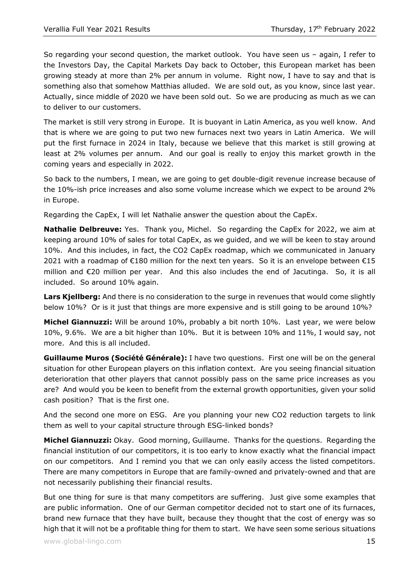So regarding your second question, the market outlook. You have seen us – again, I refer to the Investors Day, the Capital Markets Day back to October, this European market has been growing steady at more than 2% per annum in volume. Right now, I have to say and that is something also that somehow Matthias alluded. We are sold out, as you know, since last year. Actually, since middle of 2020 we have been sold out. So we are producing as much as we can to deliver to our customers.

The market is still very strong in Europe. It is buoyant in Latin America, as you well know. And that is where we are going to put two new furnaces next two years in Latin America. We will put the first furnace in 2024 in Italy, because we believe that this market is still growing at least at 2% volumes per annum. And our goal is really to enjoy this market growth in the coming years and especially in 2022.

So back to the numbers, I mean, we are going to get double-digit revenue increase because of the 10%-ish price increases and also some volume increase which we expect to be around 2% in Europe.

Regarding the CapEx, I will let Nathalie answer the question about the CapEx.

**Nathalie Delbreuve:** Yes. Thank you, Michel. So regarding the CapEx for 2022, we aim at keeping around 10% of sales for total CapEx, as we guided, and we will be keen to stay around 10%. And this includes, in fact, the CO2 CapEx roadmap, which we communicated in January 2021 with a roadmap of €180 million for the next ten years. So it is an envelope between €15 million and €20 million per year. And this also includes the end of Jacutinga. So, it is all included. So around 10% again.

**Lars Kjellberg:** And there is no consideration to the surge in revenues that would come slightly below 10%? Or is it just that things are more expensive and is still going to be around 10%?

**Michel Giannuzzi:** Will be around 10%, probably a bit north 10%. Last year, we were below 10%, 9.6%. We are a bit higher than 10%. But it is between 10% and 11%, I would say, not more. And this is all included.

**Guillaume Muros (Société Générale):** I have two questions. First one will be on the general situation for other European players on this inflation context. Are you seeing financial situation deterioration that other players that cannot possibly pass on the same price increases as you are? And would you be keen to benefit from the external growth opportunities, given your solid cash position? That is the first one.

And the second one more on ESG. Are you planning your new CO2 reduction targets to link them as well to your capital structure through ESG-linked bonds?

**Michel Giannuzzi:** Okay. Good morning, Guillaume. Thanks for the questions. Regarding the financial institution of our competitors, it is too early to know exactly what the financial impact on our competitors. And I remind you that we can only easily access the listed competitors. There are many competitors in Europe that are family-owned and privately-owned and that are not necessarily publishing their financial results.

But one thing for sure is that many competitors are suffering. Just give some examples that are public information. One of our German competitor decided not to start one of its furnaces, brand new furnace that they have built, because they thought that the cost of energy was so high that it will not be a profitable thing for them to start. We have seen some serious situations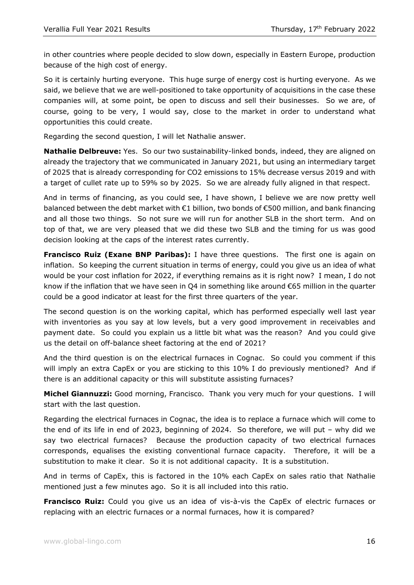in other countries where people decided to slow down, especially in Eastern Europe, production because of the high cost of energy.

So it is certainly hurting everyone. This huge surge of energy cost is hurting everyone. As we said, we believe that we are well-positioned to take opportunity of acquisitions in the case these companies will, at some point, be open to discuss and sell their businesses. So we are, of course, going to be very, I would say, close to the market in order to understand what opportunities this could create.

Regarding the second question, I will let Nathalie answer.

**Nathalie Delbreuve:** Yes. So our two sustainability-linked bonds, indeed, they are aligned on already the trajectory that we communicated in January 2021, but using an intermediary target of 2025 that is already corresponding for CO2 emissions to 15% decrease versus 2019 and with a target of cullet rate up to 59% so by 2025. So we are already fully aligned in that respect.

And in terms of financing, as you could see, I have shown, I believe we are now pretty well balanced between the debt market with €1 billion, two bonds of €500 million, and bank financing and all those two things. So not sure we will run for another SLB in the short term. And on top of that, we are very pleased that we did these two SLB and the timing for us was good decision looking at the caps of the interest rates currently.

**Francisco Ruiz (Exane BNP Paribas):** I have three questions. The first one is again on inflation. So keeping the current situation in terms of energy, could you give us an idea of what would be your cost inflation for 2022, if everything remains as it is right now? I mean, I do not know if the inflation that we have seen in Q4 in something like around €65 million in the quarter could be a good indicator at least for the first three quarters of the year.

The second question is on the working capital, which has performed especially well last year with inventories as you say at low levels, but a very good improvement in receivables and payment date. So could you explain us a little bit what was the reason? And you could give us the detail on off-balance sheet factoring at the end of 2021?

And the third question is on the electrical furnaces in Cognac. So could you comment if this will imply an extra CapEx or you are sticking to this 10% I do previously mentioned? And if there is an additional capacity or this will substitute assisting furnaces?

**Michel Giannuzzi:** Good morning, Francisco. Thank you very much for your questions. I will start with the last question.

Regarding the electrical furnaces in Cognac, the idea is to replace a furnace which will come to the end of its life in end of 2023, beginning of 2024. So therefore, we will put – why did we say two electrical furnaces? Because the production capacity of two electrical furnaces corresponds, equalises the existing conventional furnace capacity. Therefore, it will be a substitution to make it clear. So it is not additional capacity. It is a substitution.

And in terms of CapEx, this is factored in the 10% each CapEx on sales ratio that Nathalie mentioned just a few minutes ago. So it is all included into this ratio.

**Francisco Ruiz:** Could you give us an idea of vis-à-vis the CapEx of electric furnaces or replacing with an electric furnaces or a normal furnaces, how it is compared?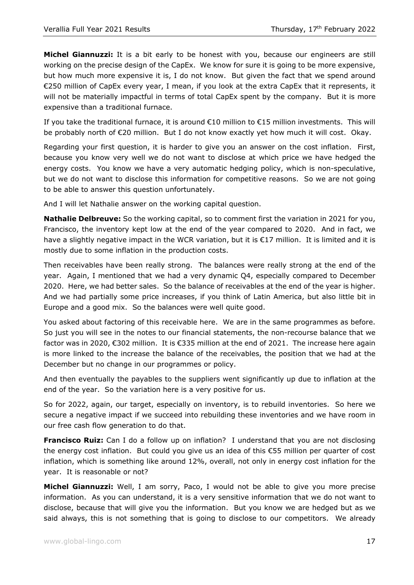**Michel Giannuzzi:** It is a bit early to be honest with you, because our engineers are still working on the precise design of the CapEx. We know for sure it is going to be more expensive, but how much more expensive it is, I do not know. But given the fact that we spend around €250 million of CapEx every year, I mean, if you look at the extra CapEx that it represents, it will not be materially impactful in terms of total CapEx spent by the company. But it is more expensive than a traditional furnace.

If you take the traditional furnace, it is around  $\epsilon$ 10 million to  $\epsilon$ 15 million investments. This will be probably north of €20 million. But I do not know exactly yet how much it will cost. Okay.

Regarding your first question, it is harder to give you an answer on the cost inflation. First, because you know very well we do not want to disclose at which price we have hedged the energy costs. You know we have a very automatic hedging policy, which is non-speculative, but we do not want to disclose this information for competitive reasons. So we are not going to be able to answer this question unfortunately.

And I will let Nathalie answer on the working capital question.

**Nathalie Delbreuve:** So the working capital, so to comment first the variation in 2021 for you, Francisco, the inventory kept low at the end of the year compared to 2020. And in fact, we have a slightly negative impact in the WCR variation, but it is €17 million. It is limited and it is mostly due to some inflation in the production costs.

Then receivables have been really strong. The balances were really strong at the end of the year. Again, I mentioned that we had a very dynamic Q4, especially compared to December 2020. Here, we had better sales. So the balance of receivables at the end of the year is higher. And we had partially some price increases, if you think of Latin America, but also little bit in Europe and a good mix. So the balances were well quite good.

You asked about factoring of this receivable here. We are in the same programmes as before. So just you will see in the notes to our financial statements, the non-recourse balance that we factor was in 2020, €302 million. It is €335 million at the end of 2021. The increase here again is more linked to the increase the balance of the receivables, the position that we had at the December but no change in our programmes or policy.

And then eventually the payables to the suppliers went significantly up due to inflation at the end of the year. So the variation here is a very positive for us.

So for 2022, again, our target, especially on inventory, is to rebuild inventories. So here we secure a negative impact if we succeed into rebuilding these inventories and we have room in our free cash flow generation to do that.

**Francisco Ruiz:** Can I do a follow up on inflation? I understand that you are not disclosing the energy cost inflation. But could you give us an idea of this €55 million per quarter of cost inflation, which is something like around 12%, overall, not only in energy cost inflation for the year. It is reasonable or not?

**Michel Giannuzzi:** Well, I am sorry, Paco, I would not be able to give you more precise information. As you can understand, it is a very sensitive information that we do not want to disclose, because that will give you the information. But you know we are hedged but as we said always, this is not something that is going to disclose to our competitors. We already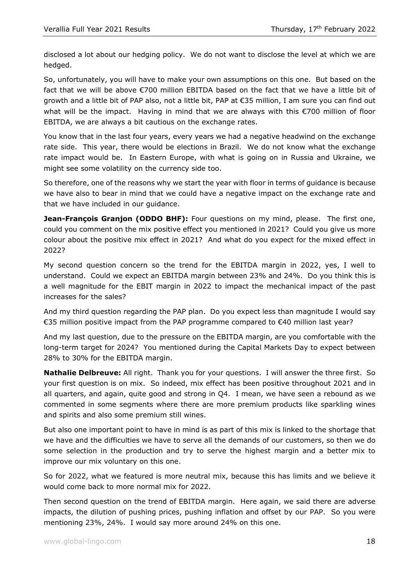disclosed a lot about our hedging policy. We do not want to disclose the level at which we are hedged.

So, unfortunately, you will have to make your own assumptions on this one. But based on the fact that we will be above €700 million EBITDA based on the fact that we have a little bit of growth and a little bit of PAP also, not a little bit, PAP at €35 million, I am sure you can find out what will be the impact. Having in mind that we are always with this €700 million of floor EBITDA, we are always a bit cautious on the exchange rates.

You know that in the last four years, every years we had a negative headwind on the exchange rate side. This year, there would be elections in Brazil. We do not know what the exchange rate impact would be. In Eastern Europe, with what is going on in Russia and Ukraine, we might see some volatility on the currency side too.

So therefore, one of the reasons why we start the year with floor in terms of guidance is because we have also to bear in mind that we could have a negative impact on the exchange rate and that we have included in our guidance.

**Jean-François Granjon (ODDO BHF):** Four questions on my mind, please. The first one, could you comment on the mix positive effect you mentioned in 2021? Could you give us more colour about the positive mix effect in 2021? And what do you expect for the mixed effect in 2022?

My second question concern so the trend for the EBITDA margin in 2022, yes, I well to understand. Could we expect an EBITDA margin between 23% and 24%. Do you think this is a well magnitude for the EBIT margin in 2022 to impact the mechanical impact of the past increases for the sales?

And my third question regarding the PAP plan. Do you expect less than magnitude I would say €35 million positive impact from the PAP programme compared to €40 million last year?

And my last question, due to the pressure on the EBITDA margin, are you comfortable with the long-term target for 2024? You mentioned during the Capital Markets Day to expect between 28% to 30% for the EBITDA margin.

**Nathalie Delbreuve:** All right. Thank you for your questions. I will answer the three first. So your first question is on mix. So indeed, mix effect has been positive throughout 2021 and in all quarters, and again, quite good and strong in Q4. I mean, we have seen a rebound as we commented in some segments where there are more premium products like sparkling wines and spirits and also some premium still wines.

But also one important point to have in mind is as part of this mix is linked to the shortage that we have and the difficulties we have to serve all the demands of our customers, so then we do some selection in the production and try to serve the highest margin and a better mix to improve our mix voluntary on this one.

So for 2022, what we featured is more neutral mix, because this has limits and we believe it would come back to more normal mix for 2022.

Then second question on the trend of EBITDA margin. Here again, we said there are adverse impacts, the dilution of pushing prices, pushing inflation and offset by our PAP. So you were mentioning 23%, 24%. I would say more around 24% on this one.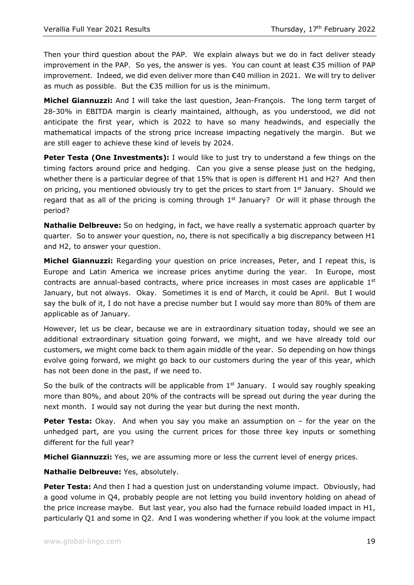Then your third question about the PAP. We explain always but we do in fact deliver steady improvement in the PAP. So yes, the answer is yes. You can count at least €35 million of PAP improvement. Indeed, we did even deliver more than €40 million in 2021. We will try to deliver as much as possible. But the €35 million for us is the minimum.

**Michel Giannuzzi:** And I will take the last question, Jean-François. The long term target of 28-30% in EBITDA margin is clearly maintained, although, as you understood, we did not anticipate the first year, which is 2022 to have so many headwinds, and especially the mathematical impacts of the strong price increase impacting negatively the margin. But we are still eager to achieve these kind of levels by 2024.

**Peter Testa (One Investments):** I would like to just try to understand a few things on the timing factors around price and hedging. Can you give a sense please just on the hedging, whether there is a particular degree of that 15% that is open is different H1 and H2? And then on pricing, you mentioned obviously try to get the prices to start from 1<sup>st</sup> January. Should we regard that as all of the pricing is coming through  $1<sup>st</sup>$  January? Or will it phase through the period?

**Nathalie Delbreuve:** So on hedging, in fact, we have really a systematic approach quarter by quarter. So to answer your question, no, there is not specifically a big discrepancy between H1 and H2, to answer your question.

**Michel Giannuzzi:** Regarding your question on price increases, Peter, and I repeat this, is Europe and Latin America we increase prices anytime during the year. In Europe, most contracts are annual-based contracts, where price increases in most cases are applicable  $1<sup>st</sup>$ January, but not always. Okay. Sometimes it is end of March, it could be April. But I would say the bulk of it, I do not have a precise number but I would say more than 80% of them are applicable as of January.

However, let us be clear, because we are in extraordinary situation today, should we see an additional extraordinary situation going forward, we might, and we have already told our customers, we might come back to them again middle of the year. So depending on how things evolve going forward, we might go back to our customers during the year of this year, which has not been done in the past, if we need to.

So the bulk of the contracts will be applicable from  $1<sup>st</sup>$  January. I would say roughly speaking more than 80%, and about 20% of the contracts will be spread out during the year during the next month. I would say not during the year but during the next month.

**Peter Testa:** Okay. And when you say you make an assumption on – for the year on the unhedged part, are you using the current prices for those three key inputs or something different for the full year?

**Michel Giannuzzi:** Yes, we are assuming more or less the current level of energy prices.

**Nathalie Delbreuve:** Yes, absolutely.

**Peter Testa:** And then I had a question just on understanding volume impact. Obviously, had a good volume in Q4, probably people are not letting you build inventory holding on ahead of the price increase maybe. But last year, you also had the furnace rebuild loaded impact in H1, particularly Q1 and some in Q2. And I was wondering whether if you look at the volume impact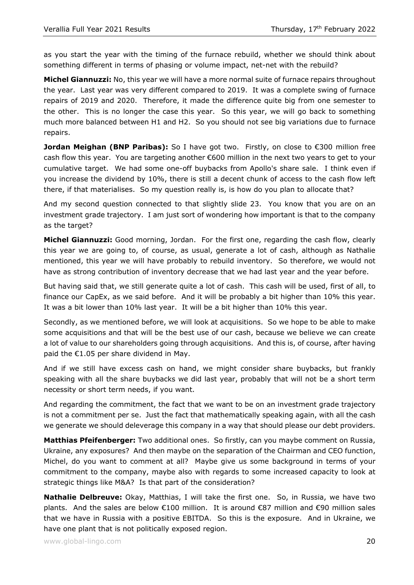as you start the year with the timing of the furnace rebuild, whether we should think about something different in terms of phasing or volume impact, net-net with the rebuild?

**Michel Giannuzzi:** No, this year we will have a more normal suite of furnace repairs throughout the year. Last year was very different compared to 2019. It was a complete swing of furnace repairs of 2019 and 2020. Therefore, it made the difference quite big from one semester to the other. This is no longer the case this year. So this year, we will go back to something much more balanced between H1 and H2. So you should not see big variations due to furnace repairs.

**Jordan Meighan (BNP Paribas):** So I have got two. Firstly, on close to €300 million free cash flow this year. You are targeting another €600 million in the next two years to get to your cumulative target. We had some one-off buybacks from Apollo's share sale. I think even if you increase the dividend by 10%, there is still a decent chunk of access to the cash flow left there, if that materialises. So my question really is, is how do you plan to allocate that?

And my second question connected to that slightly slide 23. You know that you are on an investment grade trajectory. I am just sort of wondering how important is that to the company as the target?

**Michel Giannuzzi:** Good morning, Jordan. For the first one, regarding the cash flow, clearly this year we are going to, of course, as usual, generate a lot of cash, although as Nathalie mentioned, this year we will have probably to rebuild inventory. So therefore, we would not have as strong contribution of inventory decrease that we had last year and the year before.

But having said that, we still generate quite a lot of cash. This cash will be used, first of all, to finance our CapEx, as we said before. And it will be probably a bit higher than 10% this year. It was a bit lower than 10% last year. It will be a bit higher than 10% this year.

Secondly, as we mentioned before, we will look at acquisitions. So we hope to be able to make some acquisitions and that will be the best use of our cash, because we believe we can create a lot of value to our shareholders going through acquisitions. And this is, of course, after having paid the  $€1.05$  per share dividend in May.

And if we still have excess cash on hand, we might consider share buybacks, but frankly speaking with all the share buybacks we did last year, probably that will not be a short term necessity or short term needs, if you want.

And regarding the commitment, the fact that we want to be on an investment grade trajectory is not a commitment per se. Just the fact that mathematically speaking again, with all the cash we generate we should deleverage this company in a way that should please our debt providers.

**Matthias Pfeifenberger:** Two additional ones. So firstly, can you maybe comment on Russia, Ukraine, any exposures? And then maybe on the separation of the Chairman and CEO function, Michel, do you want to comment at all? Maybe give us some background in terms of your commitment to the company, maybe also with regards to some increased capacity to look at strategic things like M&A? Is that part of the consideration?

**Nathalie Delbreuve:** Okay, Matthias, I will take the first one. So, in Russia, we have two plants. And the sales are below €100 million. It is around €87 million and €90 million sales that we have in Russia with a positive EBITDA. So this is the exposure. And in Ukraine, we have one plant that is not politically exposed region.

www.global-lingo.com  $\sim$  20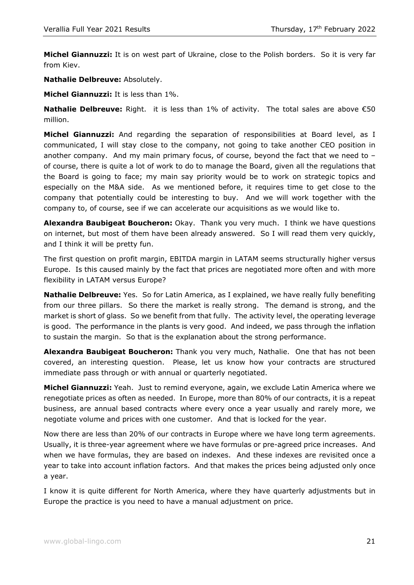**Michel Giannuzzi:** It is on west part of Ukraine, close to the Polish borders. So it is very far from Kiev.

**Nathalie Delbreuve:** Absolutely.

**Michel Giannuzzi:** It is less than 1%.

**Nathalie Delbreuve:** Right. it is less than 1% of activity. The total sales are above €50 million.

**Michel Giannuzzi:** And regarding the separation of responsibilities at Board level, as I communicated, I will stay close to the company, not going to take another CEO position in another company. And my main primary focus, of course, beyond the fact that we need to  $$ of course, there is quite a lot of work to do to manage the Board, given all the regulations that the Board is going to face; my main say priority would be to work on strategic topics and especially on the M&A side. As we mentioned before, it requires time to get close to the company that potentially could be interesting to buy. And we will work together with the company to, of course, see if we can accelerate our acquisitions as we would like to.

**Alexandra Baubigeat Boucheron:** Okay. Thank you very much. I think we have questions on internet, but most of them have been already answered. So I will read them very quickly, and I think it will be pretty fun.

The first question on profit margin, EBITDA margin in LATAM seems structurally higher versus Europe. Is this caused mainly by the fact that prices are negotiated more often and with more flexibility in LATAM versus Europe?

**Nathalie Delbreuve:** Yes. So for Latin America, as I explained, we have really fully benefiting from our three pillars. So there the market is really strong. The demand is strong, and the market is short of glass. So we benefit from that fully. The activity level, the operating leverage is good. The performance in the plants is very good. And indeed, we pass through the inflation to sustain the margin. So that is the explanation about the strong performance.

**Alexandra Baubigeat Boucheron:** Thank you very much, Nathalie. One that has not been covered, an interesting question. Please, let us know how your contracts are structured immediate pass through or with annual or quarterly negotiated.

**Michel Giannuzzi:** Yeah. Just to remind everyone, again, we exclude Latin America where we renegotiate prices as often as needed. In Europe, more than 80% of our contracts, it is a repeat business, are annual based contracts where every once a year usually and rarely more, we negotiate volume and prices with one customer. And that is locked for the year.

Now there are less than 20% of our contracts in Europe where we have long term agreements. Usually, it is three-year agreement where we have formulas or pre-agreed price increases. And when we have formulas, they are based on indexes. And these indexes are revisited once a year to take into account inflation factors. And that makes the prices being adjusted only once a year.

I know it is quite different for North America, where they have quarterly adjustments but in Europe the practice is you need to have a manual adjustment on price.